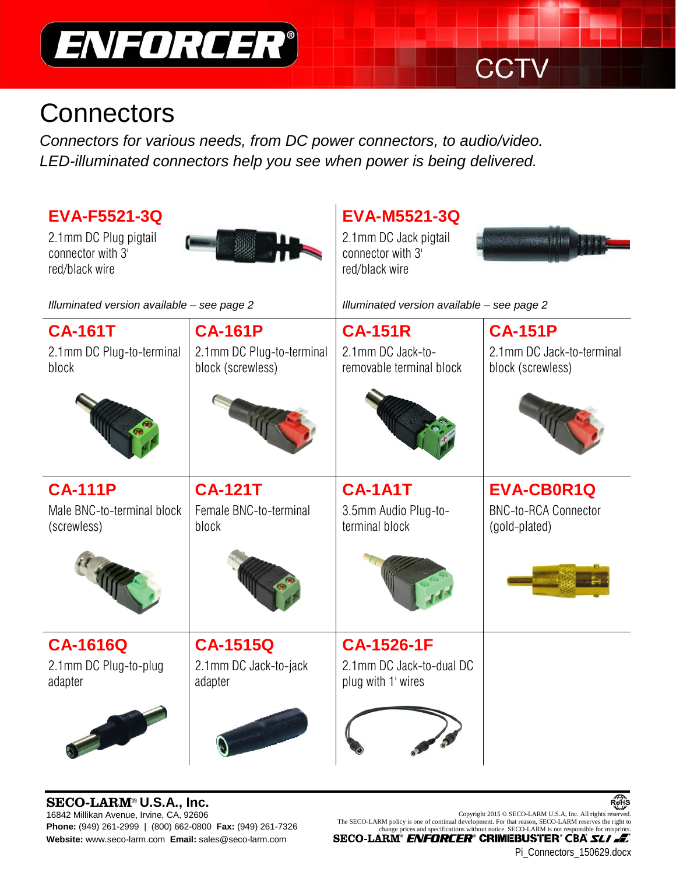

# CC<sup>-</sup>

## **Connectors**

*Connectors for various needs, from DC power connectors, to audio/video. LED-illuminated connectors help you see when power is being delivered.* 

| <b>EVA-F5521-3Q</b><br>2.1mm DC Plug pigtail<br>connector with 3'<br>red/black wire |                                                | <b>EVA-M5521-3Q</b><br>2.1mm DC Jack pigtail<br><b>SOMEON ILIBE</b><br>connector with 3'<br>red/black wire |                                                |
|-------------------------------------------------------------------------------------|------------------------------------------------|------------------------------------------------------------------------------------------------------------|------------------------------------------------|
| Illuminated version available - see page 2                                          |                                                | Illuminated version available - see page 2                                                                 |                                                |
| <b>CA-161T</b>                                                                      | <b>CA-161P</b>                                 | <b>CA-151R</b>                                                                                             | <b>CA-151P</b>                                 |
| 2.1mm DC Plug-to-terminal<br>block                                                  | 2.1mm DC Plug-to-terminal<br>block (screwless) | 2.1mm DC Jack-to-<br>removable terminal block                                                              | 2.1mm DC Jack-to-terminal<br>block (screwless) |
|                                                                                     |                                                |                                                                                                            |                                                |
| <b>CA-111P</b>                                                                      | <b>CA-121T</b>                                 | <b>CA-1A1T</b>                                                                                             | <b>EVA-CB0R1Q</b>                              |
| Male BNC-to-terminal block<br>(screwless)                                           | Female BNC-to-terminal<br>block                | 3.5mm Audio Plug-to-<br>terminal block                                                                     | <b>BNC-to-RCA Connector</b><br>(gold-plated)   |
|                                                                                     |                                                |                                                                                                            |                                                |
| <b>CA-1616Q</b>                                                                     | <b>CA-1515Q</b>                                | <b>CA-1526-1F</b>                                                                                          |                                                |
| 2.1mm DC Plug-to-plug<br>adapter                                                    | 2.1mm DC Jack-to-jack<br>adapter               | 2.1mm DC Jack-to-dual DC<br>plug with 1' wires                                                             |                                                |
|                                                                                     |                                                |                                                                                                            |                                                |

SECO-LARM® **U.S.A., Inc.** 16842 Millikan Avenue, Irvine, CA, 92606<br>Phone: (949) 261-2999 | (800) 662-0800 Fax: (949) 261-7326 The SECO-LARM policy is one of continual development. For that reason, SECO-LARM DISCA, Inc. All rights reserved.<br>«Change **Website:** www.seco-larm.com **Email:** sales@seco-larm.com

ReHis

Pi\_Connectors\_150629.docx